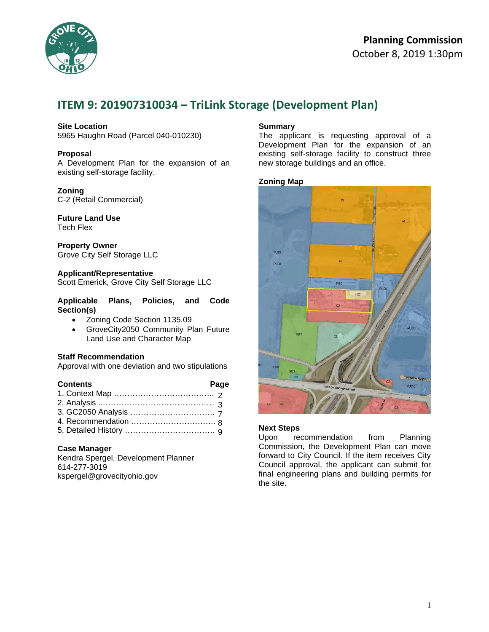

# **Planning Commission**  October 8, 2019 1:30pm

# **ITEM 9: 201907310034 – TriLink Storage (Development Plan)**

## **Site Location**

5965 Haughn Road (Parcel 040-010230)

## **Proposal**

A Development Plan for the expansion of an existing self-storage facility.

## **Zoning**

C-2 (Retail Commercial)

# **Future Land Use**

Tech Flex

**Property Owner** Grove City Self Storage LLC

## **Applicant/Representative**

Scott Emerick, Grove City Self Storage LLC

## **Applicable Plans, Policies, and Code Section(s)**

- Zoning Code Section 1135.09
- GroveCity2050 Community Plan Future Land Use and Character Map

## **Staff Recommendation**

Approval with one deviation and two stipulations

## **Contents Page** 1. Context Map ……………………………….. 2 2. Analysis ..…………………………………… 3 3. GC2050 Analysis ………………………….. 7 4. Recommendation ………………………….. 8 5. Detailed History ……………………………. 9

## **Case Manager**

Kendra Spergel, Development Planner 614-277-3019 kspergel@grovecityohio.gov

## **Summary**

The applicant is requesting approval of a Development Plan for the expansion of an existing self-storage facility to construct three new storage buildings and an office.

## **Zoning Map**



## **Next Steps**

Upon recommendation from Planning Commission, the Development Plan can move forward to City Council. If the item receives City Council approval, the applicant can submit for final engineering plans and building permits for the site.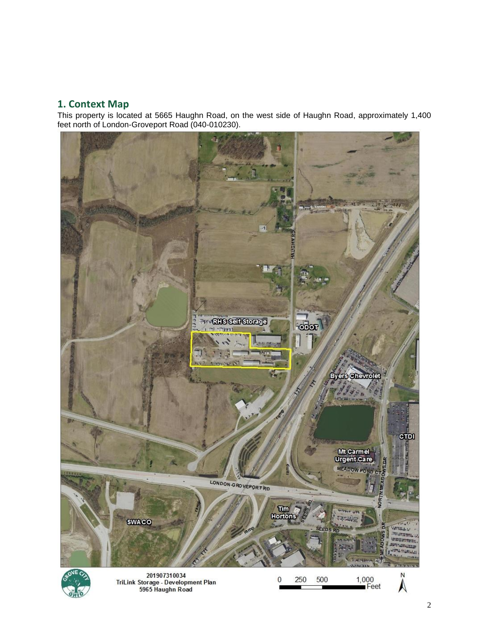# **1. Context Map**

This property is located at 5665 Haughn Road, on the west side of Haughn Road, approximately 1,400 feet north of London-Groveport Road (040-010230).

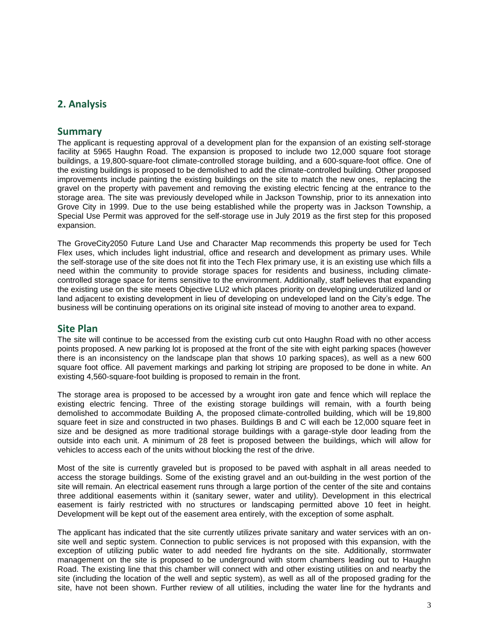# **2. Analysis**

# **Summary**

The applicant is requesting approval of a development plan for the expansion of an existing self-storage facility at 5965 Haughn Road. The expansion is proposed to include two 12,000 square foot storage buildings, a 19,800-square-foot climate-controlled storage building, and a 600-square-foot office. One of the existing buildings is proposed to be demolished to add the climate-controlled building. Other proposed improvements include painting the existing buildings on the site to match the new ones, replacing the gravel on the property with pavement and removing the existing electric fencing at the entrance to the storage area. The site was previously developed while in Jackson Township, prior to its annexation into Grove City in 1999. Due to the use being established while the property was in Jackson Township, a Special Use Permit was approved for the self-storage use in July 2019 as the first step for this proposed expansion.

The GroveCity2050 Future Land Use and Character Map recommends this property be used for Tech Flex uses, which includes light industrial, office and research and development as primary uses. While the self-storage use of the site does not fit into the Tech Flex primary use, it is an existing use which fills a need within the community to provide storage spaces for residents and business, including climatecontrolled storage space for items sensitive to the environment. Additionally, staff believes that expanding the existing use on the site meets Objective LU2 which places priority on developing underutilized land or land adjacent to existing development in lieu of developing on undeveloped land on the City's edge. The business will be continuing operations on its original site instead of moving to another area to expand.

## **Site Plan**

The site will continue to be accessed from the existing curb cut onto Haughn Road with no other access points proposed. A new parking lot is proposed at the front of the site with eight parking spaces (however there is an inconsistency on the landscape plan that shows 10 parking spaces), as well as a new 600 square foot office. All pavement markings and parking lot striping are proposed to be done in white. An existing 4,560-square-foot building is proposed to remain in the front.

The storage area is proposed to be accessed by a wrought iron gate and fence which will replace the existing electric fencing. Three of the existing storage buildings will remain, with a fourth being demolished to accommodate Building A, the proposed climate-controlled building, which will be 19,800 square feet in size and constructed in two phases. Buildings B and C will each be 12,000 square feet in size and be designed as more traditional storage buildings with a garage-style door leading from the outside into each unit. A minimum of 28 feet is proposed between the buildings, which will allow for vehicles to access each of the units without blocking the rest of the drive.

Most of the site is currently graveled but is proposed to be paved with asphalt in all areas needed to access the storage buildings. Some of the existing gravel and an out-building in the west portion of the site will remain. An electrical easement runs through a large portion of the center of the site and contains three additional easements within it (sanitary sewer, water and utility). Development in this electrical easement is fairly restricted with no structures or landscaping permitted above 10 feet in height. Development will be kept out of the easement area entirely, with the exception of some asphalt.

The applicant has indicated that the site currently utilizes private sanitary and water services with an onsite well and septic system. Connection to public services is not proposed with this expansion, with the exception of utilizing public water to add needed fire hydrants on the site. Additionally, stormwater management on the site is proposed to be underground with storm chambers leading out to Haughn Road. The existing line that this chamber will connect with and other existing utilities on and nearby the site (including the location of the well and septic system), as well as all of the proposed grading for the site, have not been shown. Further review of all utilities, including the water line for the hydrants and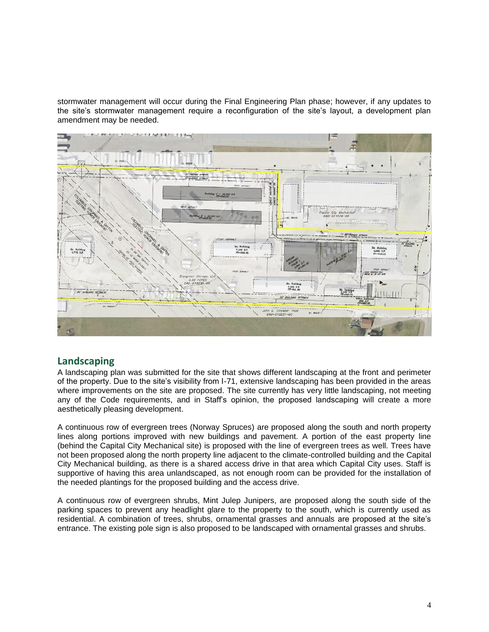stormwater management will occur during the Final Engineering Plan phase; however, if any updates to the site's stormwater management require a reconfiguration of the site's layout, a development plan amendment may be needed.



# **Landscaping**

A landscaping plan was submitted for the site that shows different landscaping at the front and perimeter of the property. Due to the site's visibility from I-71, extensive landscaping has been provided in the areas where improvements on the site are proposed. The site currently has very little landscaping, not meeting any of the Code requirements, and in Staff's opinion, the proposed landscaping will create a more aesthetically pleasing development.

A continuous row of evergreen trees (Norway Spruces) are proposed along the south and north property lines along portions improved with new buildings and pavement. A portion of the east property line (behind the Capital City Mechanical site) is proposed with the line of evergreen trees as well. Trees have not been proposed along the north property line adjacent to the climate-controlled building and the Capital City Mechanical building, as there is a shared access drive in that area which Capital City uses. Staff is supportive of having this area unlandscaped, as not enough room can be provided for the installation of the needed plantings for the proposed building and the access drive.

A continuous row of evergreen shrubs, Mint Julep Junipers, are proposed along the south side of the parking spaces to prevent any headlight glare to the property to the south, which is currently used as residential. A combination of trees, shrubs, ornamental grasses and annuals are proposed at the site's entrance. The existing pole sign is also proposed to be landscaped with ornamental grasses and shrubs.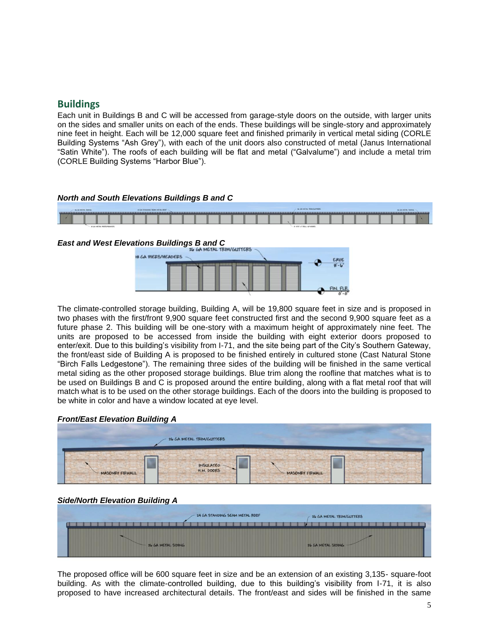# **Buildings**

Each unit in Buildings B and C will be accessed from garage-style doors on the outside, with larger units on the sides and smaller units on each of the ends. These buildings will be single-story and approximately nine feet in height. Each will be 12,000 square feet and finished primarily in vertical metal siding (CORLE Building Systems "Ash Grey"), with each of the unit doors also constructed of metal (Janus International "Satin White"). The roofs of each building will be flat and metal ("Galvalume") and include a metal trim (CORLE Building Systems "Harbor Blue").

## *North and South Elevations Buildings B and C*



# *East and West Elevations Buildings B and C*



The climate-controlled storage building, Building A, will be 19,800 square feet in size and is proposed in two phases with the first/front 9,900 square feet constructed first and the second 9,900 square feet as a future phase 2. This building will be one-story with a maximum height of approximately nine feet. The units are proposed to be accessed from inside the building with eight exterior doors proposed to enter/exit. Due to this building's visibility from I-71, and the site being part of the City's Southern Gateway, the front/east side of Building A is proposed to be finished entirely in cultured stone (Cast Natural Stone "Birch Falls Ledgestone"). The remaining three sides of the building will be finished in the same vertical metal siding as the other proposed storage buildings. Blue trim along the roofline that matches what is to be used on Buildings B and C is proposed around the entire building, along with a flat metal roof that will match what is to be used on the other storage buildings. Each of the doors into the building is proposed to be white in color and have a window located at eve level.

## *Front/East Elevation Building A*



## *Side/North Elevation Building A*

|                    | 24 GA STANDING SEAM METAL ROOF | 26 GA METAL TRIM/GUTTERS |
|--------------------|--------------------------------|--------------------------|
|                    |                                |                          |
| 26 GA METAL SIDING |                                | 26 GA METAL SIDING -     |

The proposed office will be 600 square feet in size and be an extension of an existing 3,135- square-foot building. As with the climate-controlled building, due to this building's visibility from I-71, it is also proposed to have increased architectural details. The front/east and sides will be finished in the same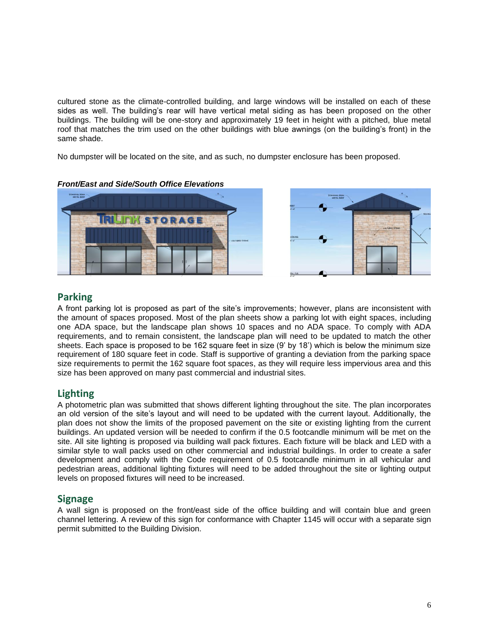cultured stone as the climate-controlled building, and large windows will be installed on each of these sides as well. The building's rear will have vertical metal siding as has been proposed on the other buildings. The building will be one-story and approximately 19 feet in height with a pitched, blue metal roof that matches the trim used on the other buildings with blue awnings (on the building's front) in the same shade.

No dumpster will be located on the site, and as such, no dumpster enclosure has been proposed.





# **Parking**

A front parking lot is proposed as part of the site's improvements; however, plans are inconsistent with the amount of spaces proposed. Most of the plan sheets show a parking lot with eight spaces, including one ADA space, but the landscape plan shows 10 spaces and no ADA space. To comply with ADA requirements, and to remain consistent, the landscape plan will need to be updated to match the other sheets. Each space is proposed to be 162 square feet in size (9' by 18') which is below the minimum size requirement of 180 square feet in code. Staff is supportive of granting a deviation from the parking space size requirements to permit the 162 square foot spaces, as they will require less impervious area and this size has been approved on many past commercial and industrial sites.

# **Lighting**

A photometric plan was submitted that shows different lighting throughout the site. The plan incorporates an old version of the site's layout and will need to be updated with the current layout. Additionally, the plan does not show the limits of the proposed pavement on the site or existing lighting from the current buildings. An updated version will be needed to confirm if the 0.5 footcandle minimum will be met on the site. All site lighting is proposed via building wall pack fixtures. Each fixture will be black and LED with a similar style to wall packs used on other commercial and industrial buildings. In order to create a safer development and comply with the Code requirement of 0.5 footcandle minimum in all vehicular and pedestrian areas, additional lighting fixtures will need to be added throughout the site or lighting output levels on proposed fixtures will need to be increased.

# **Signage**

A wall sign is proposed on the front/east side of the office building and will contain blue and green channel lettering. A review of this sign for conformance with Chapter 1145 will occur with a separate sign permit submitted to the Building Division.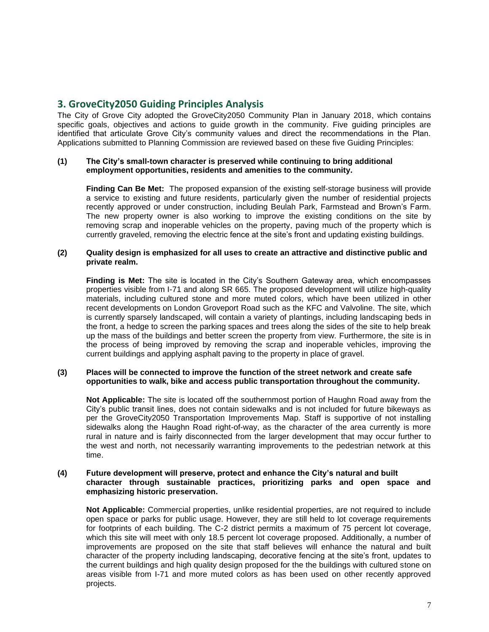# **3. GroveCity2050 Guiding Principles Analysis**

The City of Grove City adopted the GroveCity2050 Community Plan in January 2018, which contains specific goals, objectives and actions to guide growth in the community. Five guiding principles are identified that articulate Grove City's community values and direct the recommendations in the Plan. Applications submitted to Planning Commission are reviewed based on these five Guiding Principles:

## **(1) The City's small-town character is preserved while continuing to bring additional employment opportunities, residents and amenities to the community.**

**Finding Can Be Met:** The proposed expansion of the existing self-storage business will provide a service to existing and future residents, particularly given the number of residential projects recently approved or under construction, including Beulah Park, Farmstead and Brown's Farm. The new property owner is also working to improve the existing conditions on the site by removing scrap and inoperable vehicles on the property, paving much of the property which is currently graveled, removing the electric fence at the site's front and updating existing buildings.

## **(2) Quality design is emphasized for all uses to create an attractive and distinctive public and private realm.**

**Finding is Met:** The site is located in the City's Southern Gateway area, which encompasses properties visible from I-71 and along SR 665. The proposed development will utilize high-quality materials, including cultured stone and more muted colors, which have been utilized in other recent developments on London Groveport Road such as the KFC and Valvoline. The site, which is currently sparsely landscaped, will contain a variety of plantings, including landscaping beds in the front, a hedge to screen the parking spaces and trees along the sides of the site to help break up the mass of the buildings and better screen the property from view. Furthermore, the site is in the process of being improved by removing the scrap and inoperable vehicles, improving the current buildings and applying asphalt paving to the property in place of gravel.

## **(3) Places will be connected to improve the function of the street network and create safe opportunities to walk, bike and access public transportation throughout the community.**

**Not Applicable:** The site is located off the southernmost portion of Haughn Road away from the City's public transit lines, does not contain sidewalks and is not included for future bikeways as per the GroveCity2050 Transportation Improvements Map. Staff is supportive of not installing sidewalks along the Haughn Road right-of-way, as the character of the area currently is more rural in nature and is fairly disconnected from the larger development that may occur further to the west and north, not necessarily warranting improvements to the pedestrian network at this time.

## **(4) Future development will preserve, protect and enhance the City's natural and built character through sustainable practices, prioritizing parks and open space and emphasizing historic preservation.**

**Not Applicable:** Commercial properties, unlike residential properties, are not required to include open space or parks for public usage. However, they are still held to lot coverage requirements for footprints of each building. The C-2 district permits a maximum of 75 percent lot coverage, which this site will meet with only 18.5 percent lot coverage proposed. Additionally, a number of improvements are proposed on the site that staff believes will enhance the natural and built character of the property including landscaping, decorative fencing at the site's front, updates to the current buildings and high quality design proposed for the the buildings with cultured stone on areas visible from I-71 and more muted colors as has been used on other recently approved projects.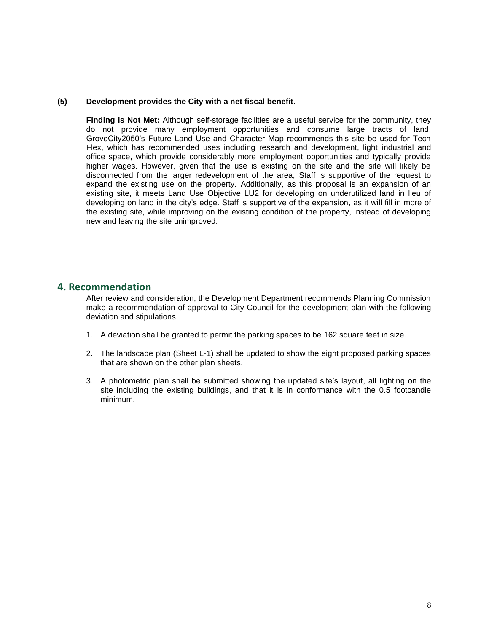## **(5) Development provides the City with a net fiscal benefit.**

**Finding is Not Met:** Although self-storage facilities are a useful service for the community, they do not provide many employment opportunities and consume large tracts of land. GroveCity2050's Future Land Use and Character Map recommends this site be used for Tech Flex, which has recommended uses including research and development, light industrial and office space, which provide considerably more employment opportunities and typically provide higher wages. However, given that the use is existing on the site and the site will likely be disconnected from the larger redevelopment of the area, Staff is supportive of the request to expand the existing use on the property. Additionally, as this proposal is an expansion of an existing site, it meets Land Use Objective LU2 for developing on underutilized land in lieu of developing on land in the city's edge. Staff is supportive of the expansion, as it will fill in more of the existing site, while improving on the existing condition of the property, instead of developing new and leaving the site unimproved.

## **4. Recommendation**

After review and consideration, the Development Department recommends Planning Commission make a recommendation of approval to City Council for the development plan with the following deviation and stipulations.

- 1. A deviation shall be granted to permit the parking spaces to be 162 square feet in size.
- 2. The landscape plan (Sheet L-1) shall be updated to show the eight proposed parking spaces that are shown on the other plan sheets.
- 3. A photometric plan shall be submitted showing the updated site's layout, all lighting on the site including the existing buildings, and that it is in conformance with the 0.5 footcandle minimum.